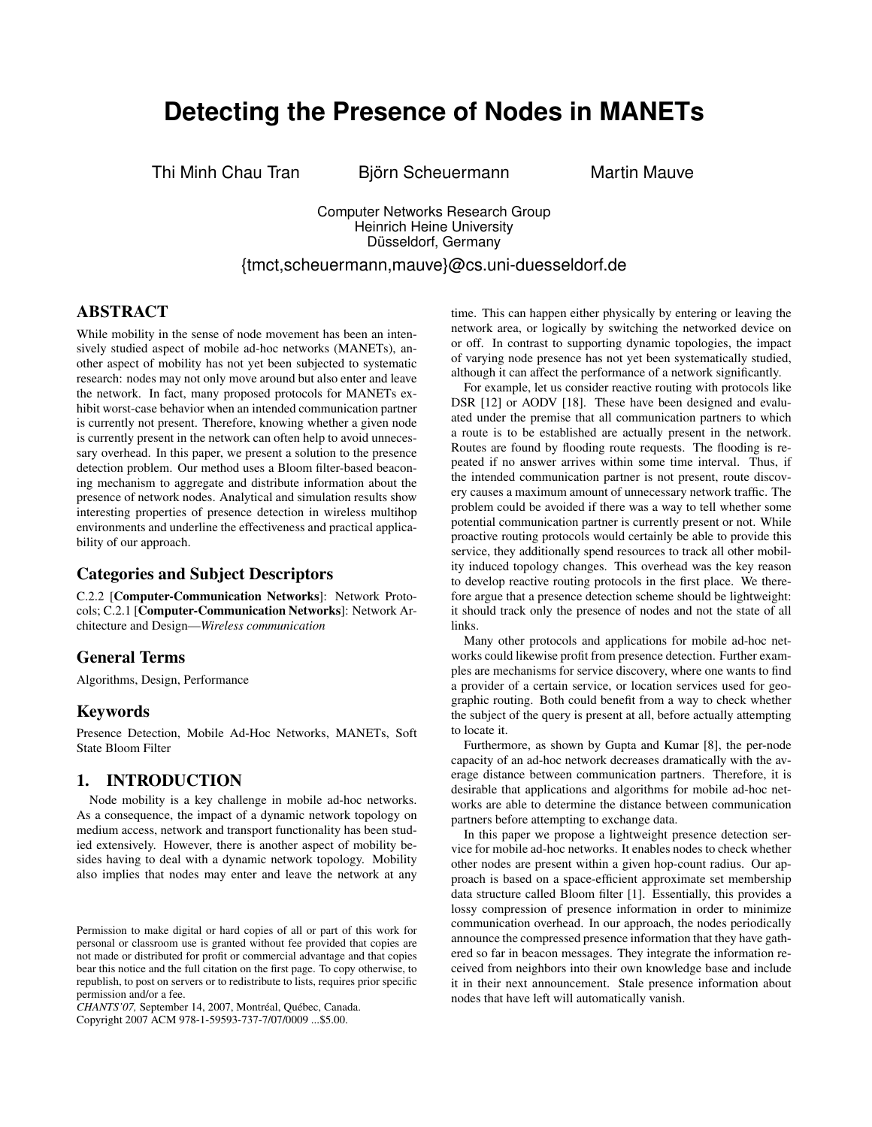# **Detecting the Presence of Nodes in MANETs**

Thi Minh Chau Tran Björn Scheuermann Martin Mauve

Computer Networks Research Group Heinrich Heine University Düsseldorf, Germany

{tmct,scheuermann,mauve}@cs.uni-duesseldorf.de

# ABSTRACT

While mobility in the sense of node movement has been an intensively studied aspect of mobile ad-hoc networks (MANETs), another aspect of mobility has not yet been subjected to systematic research: nodes may not only move around but also enter and leave the network. In fact, many proposed protocols for MANETs exhibit worst-case behavior when an intended communication partner is currently not present. Therefore, knowing whether a given node is currently present in the network can often help to avoid unnecessary overhead. In this paper, we present a solution to the presence detection problem. Our method uses a Bloom filter-based beaconing mechanism to aggregate and distribute information about the presence of network nodes. Analytical and simulation results show interesting properties of presence detection in wireless multihop environments and underline the effectiveness and practical applicability of our approach.

#### Categories and Subject Descriptors

C.2.2 [Computer-Communication Networks]: Network Protocols; C.2.1 [Computer-Communication Networks]: Network Architecture and Design—*Wireless communication*

#### General Terms

Algorithms, Design, Performance

# Keywords

Presence Detection, Mobile Ad-Hoc Networks, MANETs, Soft State Bloom Filter

# 1. INTRODUCTION

Node mobility is a key challenge in mobile ad-hoc networks. As a consequence, the impact of a dynamic network topology on medium access, network and transport functionality has been studied extensively. However, there is another aspect of mobility besides having to deal with a dynamic network topology. Mobility also implies that nodes may enter and leave the network at any

*CHANTS'07,* September 14, 2007, Montréal, Québec, Canada.

Copyright 2007 ACM 978-1-59593-737-7/07/0009 ...\$5.00.

time. This can happen either physically by entering or leaving the network area, or logically by switching the networked device on or off. In contrast to supporting dynamic topologies, the impact of varying node presence has not yet been systematically studied, although it can affect the performance of a network significantly.

For example, let us consider reactive routing with protocols like DSR [12] or AODV [18]. These have been designed and evaluated under the premise that all communication partners to which a route is to be established are actually present in the network. Routes are found by flooding route requests. The flooding is repeated if no answer arrives within some time interval. Thus, if the intended communication partner is not present, route discovery causes a maximum amount of unnecessary network traffic. The problem could be avoided if there was a way to tell whether some potential communication partner is currently present or not. While proactive routing protocols would certainly be able to provide this service, they additionally spend resources to track all other mobility induced topology changes. This overhead was the key reason to develop reactive routing protocols in the first place. We therefore argue that a presence detection scheme should be lightweight: it should track only the presence of nodes and not the state of all links.

Many other protocols and applications for mobile ad-hoc networks could likewise profit from presence detection. Further examples are mechanisms for service discovery, where one wants to find a provider of a certain service, or location services used for geographic routing. Both could benefit from a way to check whether the subject of the query is present at all, before actually attempting to locate it.

Furthermore, as shown by Gupta and Kumar [8], the per-node capacity of an ad-hoc network decreases dramatically with the average distance between communication partners. Therefore, it is desirable that applications and algorithms for mobile ad-hoc networks are able to determine the distance between communication partners before attempting to exchange data.

In this paper we propose a lightweight presence detection service for mobile ad-hoc networks. It enables nodes to check whether other nodes are present within a given hop-count radius. Our approach is based on a space-efficient approximate set membership data structure called Bloom filter [1]. Essentially, this provides a lossy compression of presence information in order to minimize communication overhead. In our approach, the nodes periodically announce the compressed presence information that they have gathered so far in beacon messages. They integrate the information received from neighbors into their own knowledge base and include it in their next announcement. Stale presence information about nodes that have left will automatically vanish.

Permission to make digital or hard copies of all or part of this work for personal or classroom use is granted without fee provided that copies are not made or distributed for profit or commercial advantage and that copies bear this notice and the full citation on the first page. To copy otherwise, to republish, to post on servers or to redistribute to lists, requires prior specific permission and/or a fee.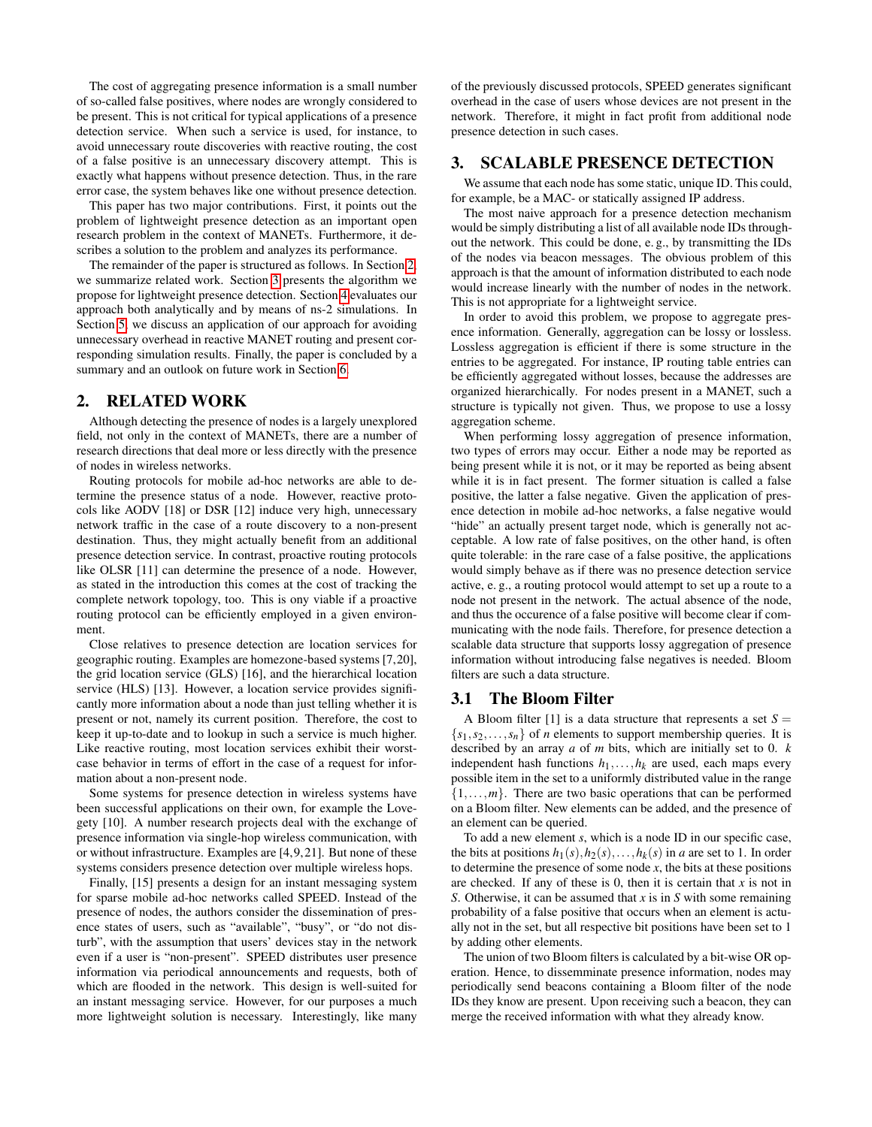The cost of aggregating presence information is a small number of so-called false positives, where nodes are wrongly considered to be present. This is not critical for typical applications of a presence detection service. When such a service is used, for instance, to avoid unnecessary route discoveries with reactive routing, the cost of a false positive is an unnecessary discovery attempt. This is exactly what happens without presence detection. Thus, in the rare error case, the system behaves like one without presence detection.

This paper has two major contributions. First, it points out the problem of lightweight presence detection as an important open research problem in the context of MANETs. Furthermore, it describes a solution to the problem and analyzes its performance.

The remainder of the paper is structured as follows. In Section [2,](#page-1-0) we summarize related work. Section [3](#page-1-1) presents the algorithm we propose for lightweight presence detection. Section [4](#page-3-0) evaluates our approach both analytically and by means of ns-2 simulations. In Section [5,](#page-5-0) we discuss an application of our approach for avoiding unnecessary overhead in reactive MANET routing and present corresponding simulation results. Finally, the paper is concluded by a summary and an outlook on future work in Section [6.](#page-6-0)

# <span id="page-1-0"></span>2. RELATED WORK

Although detecting the presence of nodes is a largely unexplored field, not only in the context of MANETs, there are a number of research directions that deal more or less directly with the presence of nodes in wireless networks.

Routing protocols for mobile ad-hoc networks are able to determine the presence status of a node. However, reactive protocols like AODV [18] or DSR [12] induce very high, unnecessary network traffic in the case of a route discovery to a non-present destination. Thus, they might actually benefit from an additional presence detection service. In contrast, proactive routing protocols like OLSR [11] can determine the presence of a node. However, as stated in the introduction this comes at the cost of tracking the complete network topology, too. This is ony viable if a proactive routing protocol can be efficiently employed in a given environment.

Close relatives to presence detection are location services for geographic routing. Examples are homezone-based systems [7,20], the grid location service (GLS) [16], and the hierarchical location service (HLS) [13]. However, a location service provides significantly more information about a node than just telling whether it is present or not, namely its current position. Therefore, the cost to keep it up-to-date and to lookup in such a service is much higher. Like reactive routing, most location services exhibit their worstcase behavior in terms of effort in the case of a request for information about a non-present node.

Some systems for presence detection in wireless systems have been successful applications on their own, for example the Lovegety [10]. A number research projects deal with the exchange of presence information via single-hop wireless communication, with or without infrastructure. Examples are [4,9,21]. But none of these systems considers presence detection over multiple wireless hops.

Finally, [15] presents a design for an instant messaging system for sparse mobile ad-hoc networks called SPEED. Instead of the presence of nodes, the authors consider the dissemination of presence states of users, such as "available", "busy", or "do not disturb", with the assumption that users' devices stay in the network even if a user is "non-present". SPEED distributes user presence information via periodical announcements and requests, both of which are flooded in the network. This design is well-suited for an instant messaging service. However, for our purposes a much more lightweight solution is necessary. Interestingly, like many of the previously discussed protocols, SPEED generates significant overhead in the case of users whose devices are not present in the network. Therefore, it might in fact profit from additional node presence detection in such cases.

# <span id="page-1-1"></span>3. SCALABLE PRESENCE DETECTION

We assume that each node has some static, unique ID. This could, for example, be a MAC- or statically assigned IP address.

The most naive approach for a presence detection mechanism would be simply distributing a list of all available node IDs throughout the network. This could be done, e. g., by transmitting the IDs of the nodes via beacon messages. The obvious problem of this approach is that the amount of information distributed to each node would increase linearly with the number of nodes in the network. This is not appropriate for a lightweight service.

In order to avoid this problem, we propose to aggregate presence information. Generally, aggregation can be lossy or lossless. Lossless aggregation is efficient if there is some structure in the entries to be aggregated. For instance, IP routing table entries can be efficiently aggregated without losses, because the addresses are organized hierarchically. For nodes present in a MANET, such a structure is typically not given. Thus, we propose to use a lossy aggregation scheme.

When performing lossy aggregation of presence information, two types of errors may occur. Either a node may be reported as being present while it is not, or it may be reported as being absent while it is in fact present. The former situation is called a false positive, the latter a false negative. Given the application of presence detection in mobile ad-hoc networks, a false negative would "hide" an actually present target node, which is generally not acceptable. A low rate of false positives, on the other hand, is often quite tolerable: in the rare case of a false positive, the applications would simply behave as if there was no presence detection service active, e. g., a routing protocol would attempt to set up a route to a node not present in the network. The actual absence of the node, and thus the occurence of a false positive will become clear if communicating with the node fails. Therefore, for presence detection a scalable data structure that supports lossy aggregation of presence information without introducing false negatives is needed. Bloom filters are such a data structure.

#### 3.1 The Bloom Filter

A Bloom filter [1] is a data structure that represents a set  $S =$  ${s_1, s_2,..., s_n}$  of *n* elements to support membership queries. It is described by an array *a* of *m* bits, which are initially set to 0. *k* independent hash functions  $h_1, \ldots, h_k$  are used, each maps every possible item in the set to a uniformly distributed value in the range  $\{1,\ldots,m\}$ . There are two basic operations that can be performed on a Bloom filter. New elements can be added, and the presence of an element can be queried.

To add a new element *s*, which is a node ID in our specific case, the bits at positions  $h_1(s), h_2(s), \ldots, h_k(s)$  in *a* are set to 1. In order to determine the presence of some node  $x$ , the bits at these positions are checked. If any of these is 0, then it is certain that *x* is not in *S*. Otherwise, it can be assumed that *x* is in *S* with some remaining probability of a false positive that occurs when an element is actually not in the set, but all respective bit positions have been set to 1 by adding other elements.

The union of two Bloom filters is calculated by a bit-wise OR operation. Hence, to dissemminate presence information, nodes may periodically send beacons containing a Bloom filter of the node IDs they know are present. Upon receiving such a beacon, they can merge the received information with what they already know.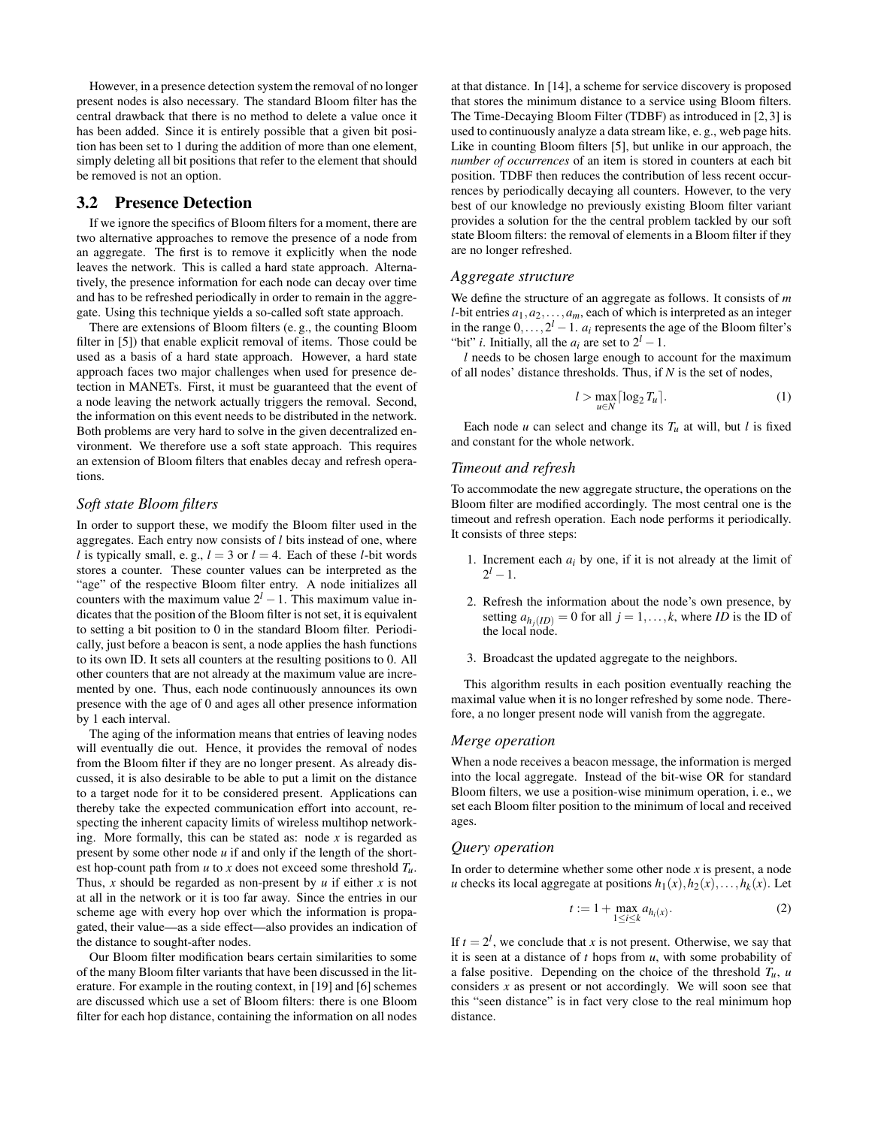However, in a presence detection system the removal of no longer present nodes is also necessary. The standard Bloom filter has the central drawback that there is no method to delete a value once it has been added. Since it is entirely possible that a given bit position has been set to 1 during the addition of more than one element, simply deleting all bit positions that refer to the element that should be removed is not an option.

# 3.2 Presence Detection

If we ignore the specifics of Bloom filters for a moment, there are two alternative approaches to remove the presence of a node from an aggregate. The first is to remove it explicitly when the node leaves the network. This is called a hard state approach. Alternatively, the presence information for each node can decay over time and has to be refreshed periodically in order to remain in the aggregate. Using this technique yields a so-called soft state approach.

There are extensions of Bloom filters (e. g., the counting Bloom filter in [5]) that enable explicit removal of items. Those could be used as a basis of a hard state approach. However, a hard state approach faces two major challenges when used for presence detection in MANETs. First, it must be guaranteed that the event of a node leaving the network actually triggers the removal. Second, the information on this event needs to be distributed in the network. Both problems are very hard to solve in the given decentralized environment. We therefore use a soft state approach. This requires an extension of Bloom filters that enables decay and refresh operations.

#### *Soft state Bloom filters*

In order to support these, we modify the Bloom filter used in the aggregates. Each entry now consists of *l* bits instead of one, where *l* is typically small, e.g.,  $l = 3$  or  $l = 4$ . Each of these *l*-bit words stores a counter. These counter values can be interpreted as the "age" of the respective Bloom filter entry. A node initializes all counters with the maximum value  $2<sup>l</sup> - 1$ . This maximum value indicates that the position of the Bloom filter is not set, it is equivalent to setting a bit position to 0 in the standard Bloom filter. Periodically, just before a beacon is sent, a node applies the hash functions to its own ID. It sets all counters at the resulting positions to 0. All other counters that are not already at the maximum value are incremented by one. Thus, each node continuously announces its own presence with the age of 0 and ages all other presence information by 1 each interval.

The aging of the information means that entries of leaving nodes will eventually die out. Hence, it provides the removal of nodes from the Bloom filter if they are no longer present. As already discussed, it is also desirable to be able to put a limit on the distance to a target node for it to be considered present. Applications can thereby take the expected communication effort into account, respecting the inherent capacity limits of wireless multihop networking. More formally, this can be stated as: node *x* is regarded as present by some other node *u* if and only if the length of the shortest hop-count path from *u* to *x* does not exceed some threshold  $T_u$ . Thus, *x* should be regarded as non-present by *u* if either *x* is not at all in the network or it is too far away. Since the entries in our scheme age with every hop over which the information is propagated, their value—as a side effect—also provides an indication of the distance to sought-after nodes.

Our Bloom filter modification bears certain similarities to some of the many Bloom filter variants that have been discussed in the literature. For example in the routing context, in [19] and [6] schemes are discussed which use a set of Bloom filters: there is one Bloom filter for each hop distance, containing the information on all nodes at that distance. In [14], a scheme for service discovery is proposed that stores the minimum distance to a service using Bloom filters. The Time-Decaying Bloom Filter (TDBF) as introduced in [2, 3] is used to continuously analyze a data stream like, e. g., web page hits. Like in counting Bloom filters [5], but unlike in our approach, the *number of occurrences* of an item is stored in counters at each bit position. TDBF then reduces the contribution of less recent occurrences by periodically decaying all counters. However, to the very best of our knowledge no previously existing Bloom filter variant provides a solution for the the central problem tackled by our soft state Bloom filters: the removal of elements in a Bloom filter if they are no longer refreshed.

#### *Aggregate structure*

We define the structure of an aggregate as follows. It consists of *m l*-bit entries  $a_1, a_2, \ldots, a_m$ , each of which is interpreted as an integer in the range  $0, \ldots, 2^l - 1$ . *a*<sub>*i*</sub> represents the age of the Bloom filter's "bit" *i*. Initially, all the  $a_i$  are set to  $2^l - 1$ .

*l* needs to be chosen large enough to account for the maximum of all nodes' distance thresholds. Thus, if *N* is the set of nodes,

$$
l > \max_{u \in N} \lceil \log_2 T_u \rceil. \tag{1}
$$

Each node  $u$  can select and change its  $T_u$  at will, but  $l$  is fixed and constant for the whole network.

#### *Timeout and refresh*

To accommodate the new aggregate structure, the operations on the Bloom filter are modified accordingly. The most central one is the timeout and refresh operation. Each node performs it periodically. It consists of three steps:

- 1. Increment each *ai* by one, if it is not already at the limit of  $2^l - 1$ .
- 2. Refresh the information about the node's own presence, by setting  $a_{h_i(ID)} = 0$  for all  $j = 1, ..., k$ , where *ID* is the ID of the local node.
- 3. Broadcast the updated aggregate to the neighbors.

This algorithm results in each position eventually reaching the maximal value when it is no longer refreshed by some node. Therefore, a no longer present node will vanish from the aggregate.

#### *Merge operation*

When a node receives a beacon message, the information is merged into the local aggregate. Instead of the bit-wise OR for standard Bloom filters, we use a position-wise minimum operation, i. e., we set each Bloom filter position to the minimum of local and received ages.

#### *Query operation*

In order to determine whether some other node  $x$  is present, a node *u* checks its local aggregate at positions  $h_1(x), h_2(x), \ldots, h_k(x)$ . Let

$$
t := 1 + \max_{1 \le i \le k} a_{h_i(x)}.
$$
 (2)

If  $t = 2^l$ , we conclude that *x* is not present. Otherwise, we say that it is seen at a distance of *t* hops from *u*, with some probability of a false positive. Depending on the choice of the threshold  $T_u$ , *u* considers *x* as present or not accordingly. We will soon see that this "seen distance" is in fact very close to the real minimum hop distance.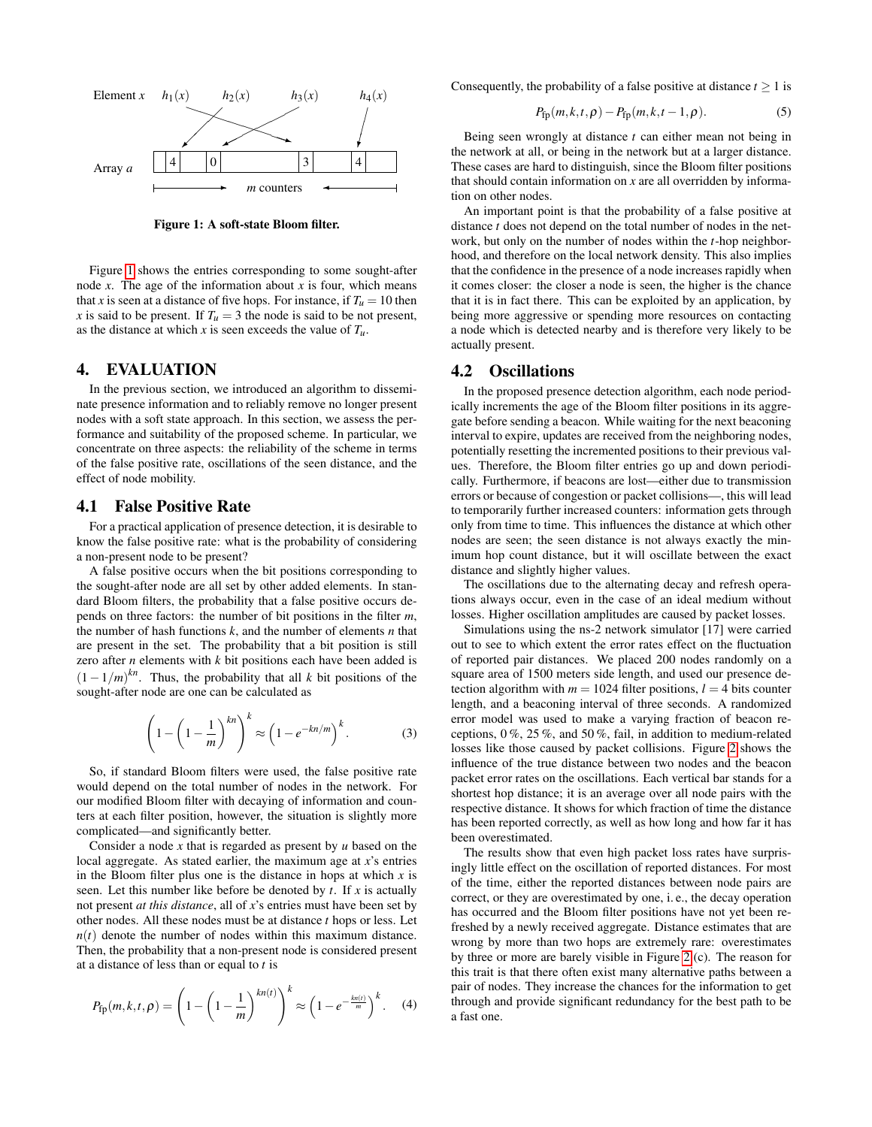

<span id="page-3-1"></span>Figure 1: A soft-state Bloom filter.

Figure [1](#page-3-1) shows the entries corresponding to some sought-after node *x*. The age of the information about *x* is four, which means that *x* is seen at a distance of five hops. For instance, if  $T_u = 10$  then *x* is said to be present. If  $T_u = 3$  the node is said to be not present, as the distance at which *x* is seen exceeds the value of  $T_u$ .

## <span id="page-3-0"></span>4. EVALUATION

In the previous section, we introduced an algorithm to disseminate presence information and to reliably remove no longer present nodes with a soft state approach. In this section, we assess the performance and suitability of the proposed scheme. In particular, we concentrate on three aspects: the reliability of the scheme in terms of the false positive rate, oscillations of the seen distance, and the effect of node mobility.

#### 4.1 False Positive Rate

For a practical application of presence detection, it is desirable to know the false positive rate: what is the probability of considering a non-present node to be present?

A false positive occurs when the bit positions corresponding to the sought-after node are all set by other added elements. In standard Bloom filters, the probability that a false positive occurs depends on three factors: the number of bit positions in the filter *m*, the number of hash functions *k*, and the number of elements *n* that are present in the set. The probability that a bit position is still zero after *n* elements with *k* bit positions each have been added is  $(1-1/m)^{kn}$ . Thus, the probability that all *k* bit positions of the sought-after node are one can be calculated as

$$
\left(1 - \left(1 - \frac{1}{m}\right)^{kn}\right)^k \approx \left(1 - e^{-kn/m}\right)^k. \tag{3}
$$

So, if standard Bloom filters were used, the false positive rate would depend on the total number of nodes in the network. For our modified Bloom filter with decaying of information and counters at each filter position, however, the situation is slightly more complicated—and significantly better.

Consider a node *x* that is regarded as present by *u* based on the local aggregate. As stated earlier, the maximum age at *x*'s entries in the Bloom filter plus one is the distance in hops at which  $x$  is seen. Let this number like before be denoted by *t*. If *x* is actually not present *at this distance*, all of *x*'s entries must have been set by other nodes. All these nodes must be at distance *t* hops or less. Let  $n(t)$  denote the number of nodes within this maximum distance. Then, the probability that a non-present node is considered present at a distance of less than or equal to *t* is

<span id="page-3-2"></span>
$$
P_{\text{fp}}(m,k,t,\rho) = \left(1 - \left(1 - \frac{1}{m}\right)^{kn(t)}\right)^k \approx \left(1 - e^{-\frac{kn(t)}{m}}\right)^k. \tag{4}
$$

Consequently, the probability of a false positive at distance  $t \geq 1$  is

$$
P_{\text{fp}}(m,k,t,\rho) - P_{\text{fp}}(m,k,t-1,\rho). \tag{5}
$$

Being seen wrongly at distance *t* can either mean not being in the network at all, or being in the network but at a larger distance. These cases are hard to distinguish, since the Bloom filter positions that should contain information on *x* are all overridden by information on other nodes.

An important point is that the probability of a false positive at distance *t* does not depend on the total number of nodes in the network, but only on the number of nodes within the *t*-hop neighborhood, and therefore on the local network density. This also implies that the confidence in the presence of a node increases rapidly when it comes closer: the closer a node is seen, the higher is the chance that it is in fact there. This can be exploited by an application, by being more aggressive or spending more resources on contacting a node which is detected nearby and is therefore very likely to be actually present.

#### 4.2 Oscillations

In the proposed presence detection algorithm, each node periodically increments the age of the Bloom filter positions in its aggregate before sending a beacon. While waiting for the next beaconing interval to expire, updates are received from the neighboring nodes, potentially resetting the incremented positions to their previous values. Therefore, the Bloom filter entries go up and down periodically. Furthermore, if beacons are lost—either due to transmission errors or because of congestion or packet collisions—, this will lead to temporarily further increased counters: information gets through only from time to time. This influences the distance at which other nodes are seen; the seen distance is not always exactly the minimum hop count distance, but it will oscillate between the exact distance and slightly higher values.

The oscillations due to the alternating decay and refresh operations always occur, even in the case of an ideal medium without losses. Higher oscillation amplitudes are caused by packet losses.

Simulations using the ns-2 network simulator [17] were carried out to see to which extent the error rates effect on the fluctuation of reported pair distances. We placed 200 nodes randomly on a square area of 1500 meters side length, and used our presence detection algorithm with  $m = 1024$  filter positions,  $l = 4$  bits counter length, and a beaconing interval of three seconds. A randomized error model was used to make a varying fraction of beacon receptions, 0 %, 25 %, and 50 %, fail, in addition to medium-related losses like those caused by packet collisions. Figure [2](#page-4-0) shows the influence of the true distance between two nodes and the beacon packet error rates on the oscillations. Each vertical bar stands for a shortest hop distance; it is an average over all node pairs with the respective distance. It shows for which fraction of time the distance has been reported correctly, as well as how long and how far it has been overestimated.

The results show that even high packet loss rates have surprisingly little effect on the oscillation of reported distances. For most of the time, either the reported distances between node pairs are correct, or they are overestimated by one, i. e., the decay operation has occurred and the Bloom filter positions have not yet been refreshed by a newly received aggregate. Distance estimates that are wrong by more than two hops are extremely rare: overestimates by three or more are barely visible in Figure [2](#page-4-0) (c). The reason for this trait is that there often exist many alternative paths between a pair of nodes. They increase the chances for the information to get through and provide significant redundancy for the best path to be a fast one.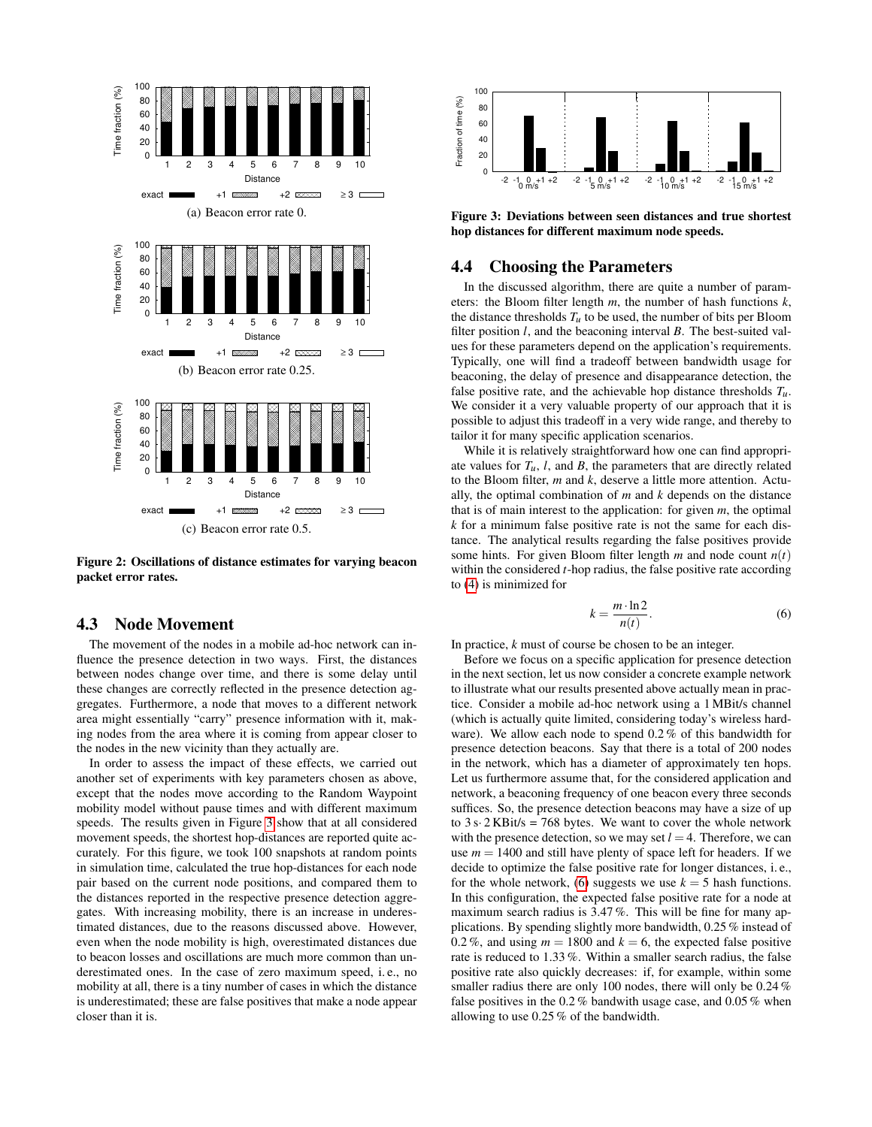

<span id="page-4-0"></span>Figure 2: Oscillations of distance estimates for varying beacon packet error rates.

#### 4.3 Node Movement

The movement of the nodes in a mobile ad-hoc network can influence the presence detection in two ways. First, the distances between nodes change over time, and there is some delay until these changes are correctly reflected in the presence detection aggregates. Furthermore, a node that moves to a different network area might essentially "carry" presence information with it, making nodes from the area where it is coming from appear closer to the nodes in the new vicinity than they actually are.

In order to assess the impact of these effects, we carried out another set of experiments with key parameters chosen as above, except that the nodes move according to the Random Waypoint mobility model without pause times and with different maximum speeds. The results given in Figure [3](#page-4-1) show that at all considered movement speeds, the shortest hop-distances are reported quite accurately. For this figure, we took 100 snapshots at random points in simulation time, calculated the true hop-distances for each node pair based on the current node positions, and compared them to the distances reported in the respective presence detection aggregates. With increasing mobility, there is an increase in underestimated distances, due to the reasons discussed above. However, even when the node mobility is high, overestimated distances due to beacon losses and oscillations are much more common than underestimated ones. In the case of zero maximum speed, i. e., no mobility at all, there is a tiny number of cases in which the distance is underestimated; these are false positives that make a node appear closer than it is.



<span id="page-4-1"></span>Figure 3: Deviations between seen distances and true shortest hop distances for different maximum node speeds.

# 4.4 Choosing the Parameters

In the discussed algorithm, there are quite a number of parameters: the Bloom filter length *m*, the number of hash functions *k*, the distance thresholds  $T_u$  to be used, the number of bits per Bloom filter position *l*, and the beaconing interval *B*. The best-suited values for these parameters depend on the application's requirements. Typically, one will find a tradeoff between bandwidth usage for beaconing, the delay of presence and disappearance detection, the false positive rate, and the achievable hop distance thresholds  $T_u$ . We consider it a very valuable property of our approach that it is possible to adjust this tradeoff in a very wide range, and thereby to tailor it for many specific application scenarios.

While it is relatively straightforward how one can find appropriate values for  $T_u$ , *l*, and *B*, the parameters that are directly related to the Bloom filter, *m* and *k*, deserve a little more attention. Actually, the optimal combination of *m* and *k* depends on the distance that is of main interest to the application: for given *m*, the optimal *k* for a minimum false positive rate is not the same for each distance. The analytical results regarding the false positives provide some hints. For given Bloom filter length  $m$  and node count  $n(t)$ within the considered *t*-hop radius, the false positive rate according to [\(4\)](#page-3-2) is minimized for

<span id="page-4-2"></span>
$$
k = \frac{m \cdot \ln 2}{n(t)}.\tag{6}
$$

In practice, *k* must of course be chosen to be an integer.

Before we focus on a specific application for presence detection in the next section, let us now consider a concrete example network to illustrate what our results presented above actually mean in practice. Consider a mobile ad-hoc network using a 1 MBit/s channel (which is actually quite limited, considering today's wireless hardware). We allow each node to spend 0.2 % of this bandwidth for presence detection beacons. Say that there is a total of 200 nodes in the network, which has a diameter of approximately ten hops. Let us furthermore assume that, for the considered application and network, a beaconing frequency of one beacon every three seconds suffices. So, the presence detection beacons may have a size of up to  $3 s \cdot 2 KBit/s = 768$  bytes. We want to cover the whole network with the presence detection, so we may set  $l = 4$ . Therefore, we can use  $m = 1400$  and still have plenty of space left for headers. If we decide to optimize the false positive rate for longer distances, i. e., for the whole network, [\(6\)](#page-4-2) suggests we use  $k = 5$  hash functions. In this configuration, the expected false positive rate for a node at maximum search radius is 3.47 %. This will be fine for many applications. By spending slightly more bandwidth, 0.25 % instead of 0.2 %, and using  $m = 1800$  and  $k = 6$ , the expected false positive rate is reduced to 1.33 %. Within a smaller search radius, the false positive rate also quickly decreases: if, for example, within some smaller radius there are only 100 nodes, there will only be 0.24 % false positives in the 0.2 % bandwith usage case, and 0.05 % when allowing to use 0.25 % of the bandwidth.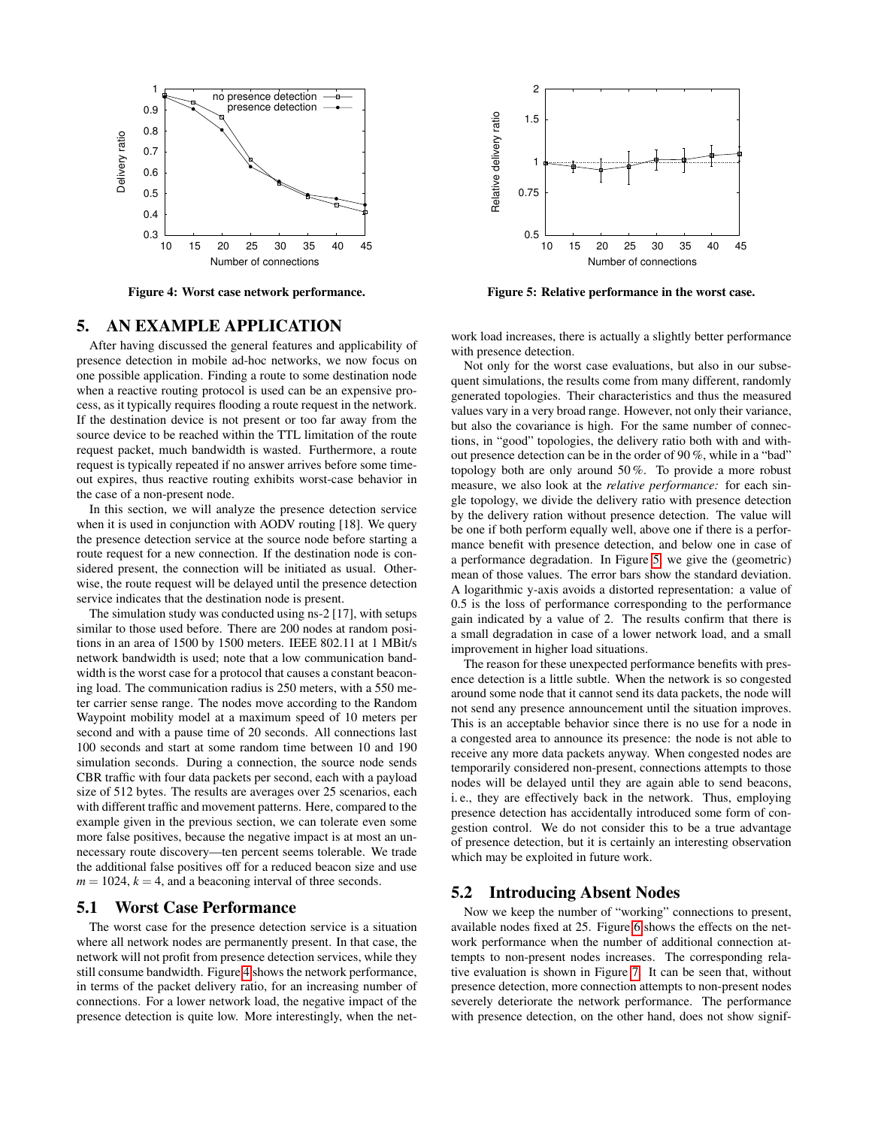

<span id="page-5-1"></span>Figure 4: Worst case network performance.

# 5. AN EXAMPLE APPLICATION

<span id="page-5-0"></span>After having discussed the general features and applicability of presence detection in mobile ad-hoc networks, we now focus on one possible application. Finding a route to some destination node when a reactive routing protocol is used can be an expensive process, as it typically requires flooding a route request in the network. If the destination device is not present or too far away from the source device to be reached within the TTL limitation of the route request packet, much bandwidth is wasted. Furthermore, a route request is typically repeated if no answer arrives before some timeout expires, thus reactive routing exhibits worst-case behavior in the case of a non-present node.

In this section, we will analyze the presence detection service when it is used in conjunction with AODV routing [18]. We query the presence detection service at the source node before starting a route request for a new connection. If the destination node is considered present, the connection will be initiated as usual. Otherwise, the route request will be delayed until the presence detection service indicates that the destination node is present.

The simulation study was conducted using ns-2 [17], with setups similar to those used before. There are 200 nodes at random positions in an area of 1500 by 1500 meters. IEEE 802.11 at 1 MBit/s network bandwidth is used; note that a low communication bandwidth is the worst case for a protocol that causes a constant beaconing load. The communication radius is 250 meters, with a 550 meter carrier sense range. The nodes move according to the Random Waypoint mobility model at a maximum speed of 10 meters per second and with a pause time of 20 seconds. All connections last 100 seconds and start at some random time between 10 and 190 simulation seconds. During a connection, the source node sends CBR traffic with four data packets per second, each with a payload size of 512 bytes. The results are averages over 25 scenarios, each with different traffic and movement patterns. Here, compared to the example given in the previous section, we can tolerate even some more false positives, because the negative impact is at most an unnecessary route discovery—ten percent seems tolerable. We trade the additional false positives off for a reduced beacon size and use  $m = 1024$ ,  $k = 4$ , and a beaconing interval of three seconds.

# 5.1 Worst Case Performance

The worst case for the presence detection service is a situation where all network nodes are permanently present. In that case, the network will not profit from presence detection services, while they still consume bandwidth. Figure [4](#page-5-1) shows the network performance, in terms of the packet delivery ratio, for an increasing number of connections. For a lower network load, the negative impact of the presence detection is quite low. More interestingly, when the net-



<span id="page-5-2"></span>Figure 5: Relative performance in the worst case.

work load increases, there is actually a slightly better performance with presence detection.

Not only for the worst case evaluations, but also in our subsequent simulations, the results come from many different, randomly generated topologies. Their characteristics and thus the measured values vary in a very broad range. However, not only their variance, but also the covariance is high. For the same number of connections, in "good" topologies, the delivery ratio both with and without presence detection can be in the order of 90 %, while in a "bad" topology both are only around 50 %. To provide a more robust measure, we also look at the *relative performance:* for each single topology, we divide the delivery ratio with presence detection by the delivery ration without presence detection. The value will be one if both perform equally well, above one if there is a performance benefit with presence detection, and below one in case of a performance degradation. In Figure [5,](#page-5-2) we give the (geometric) mean of those values. The error bars show the standard deviation. A logarithmic y-axis avoids a distorted representation: a value of 0.5 is the loss of performance corresponding to the performance gain indicated by a value of 2. The results confirm that there is a small degradation in case of a lower network load, and a small improvement in higher load situations.

The reason for these unexpected performance benefits with presence detection is a little subtle. When the network is so congested around some node that it cannot send its data packets, the node will not send any presence announcement until the situation improves. This is an acceptable behavior since there is no use for a node in a congested area to announce its presence: the node is not able to receive any more data packets anyway. When congested nodes are temporarily considered non-present, connections attempts to those nodes will be delayed until they are again able to send beacons, i. e., they are effectively back in the network. Thus, employing presence detection has accidentally introduced some form of congestion control. We do not consider this to be a true advantage of presence detection, but it is certainly an interesting observation which may be exploited in future work.

# 5.2 Introducing Absent Nodes

Now we keep the number of "working" connections to present, available nodes fixed at 25. Figure [6](#page-6-1) shows the effects on the network performance when the number of additional connection attempts to non-present nodes increases. The corresponding relative evaluation is shown in Figure [7.](#page-6-2) It can be seen that, without presence detection, more connection attempts to non-present nodes severely deteriorate the network performance. The performance with presence detection, on the other hand, does not show signif-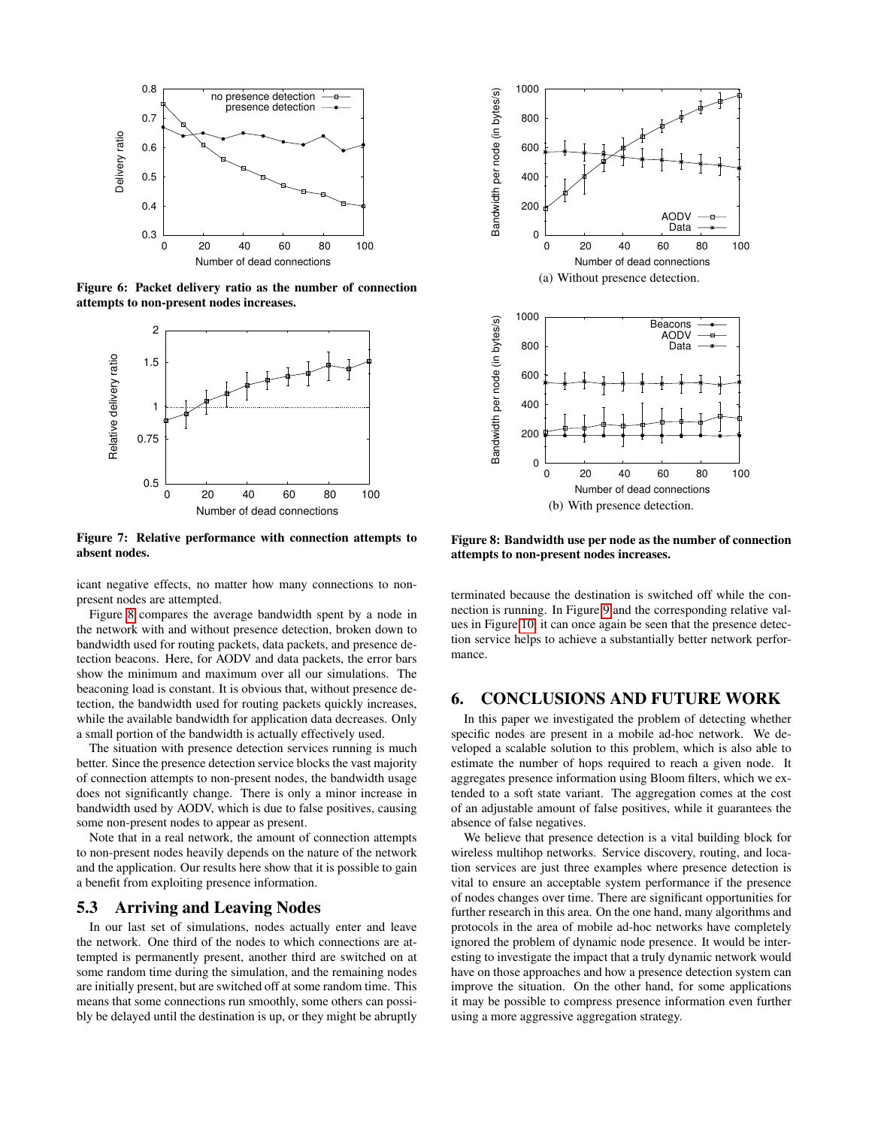

Figure 6: Packet delivery ratio as the number of connection attempts to non-present nodes increases.

<span id="page-6-1"></span>

<span id="page-6-2"></span>Figure 7: Relative performance with connection attempts to absent nodes.

icant negative effects, no matter how many connections to nonpresent nodes are attempted.

Figure [8](#page-6-3) compares the average bandwidth spent by a node in the network with and without presence detection, broken down to bandwidth used for routing packets, data packets, and presence detection beacons. Here, for AODV and data packets, the error bars show the minimum and maximum over all our simulations. The beaconing load is constant. It is obvious that, without presence detection, the bandwidth used for routing packets quickly increases, while the available bandwidth for application data decreases. Only a small portion of the bandwidth is actually effectively used.

The situation with presence detection services running is much better. Since the presence detection service blocks the vast majority of connection attempts to non-present nodes, the bandwidth usage does not significantly change. There is only a minor increase in bandwidth used by AODV, which is due to false positives, causing some non-present nodes to appear as present.

Note that in a real network, the amount of connection attempts to non-present nodes heavily depends on the nature of the network and the application. Our results here show that it is possible to gain a benefit from exploiting presence information.

# 5.3 Arriving and Leaving Nodes

In our last set of simulations, nodes actually enter and leave the network. One third of the nodes to which connections are attempted is permanently present, another third are switched on at some random time during the simulation, and the remaining nodes are initially present, but are switched off at some random time. This means that some connections run smoothly, some others can possibly be delayed until the destination is up, or they might be abruptly



<span id="page-6-3"></span>Figure 8: Bandwidth use per node as the number of connection attempts to non-present nodes increases.

terminated because the destination is switched off while the connection is running. In Figure [9](#page-7-0) and the corresponding relative values in Figure [10,](#page-7-1) it can once again be seen that the presence detection service helps to achieve a substantially better network performance.

# <span id="page-6-0"></span>6. CONCLUSIONS AND FUTURE WORK

In this paper we investigated the problem of detecting whether specific nodes are present in a mobile ad-hoc network. We developed a scalable solution to this problem, which is also able to estimate the number of hops required to reach a given node. It aggregates presence information using Bloom filters, which we extended to a soft state variant. The aggregation comes at the cost of an adjustable amount of false positives, while it guarantees the absence of false negatives.

We believe that presence detection is a vital building block for wireless multihop networks. Service discovery, routing, and location services are just three examples where presence detection is vital to ensure an acceptable system performance if the presence of nodes changes over time. There are significant opportunities for further research in this area. On the one hand, many algorithms and protocols in the area of mobile ad-hoc networks have completely ignored the problem of dynamic node presence. It would be interesting to investigate the impact that a truly dynamic network would have on those approaches and how a presence detection system can improve the situation. On the other hand, for some applications it may be possible to compress presence information even further using a more aggressive aggregation strategy.